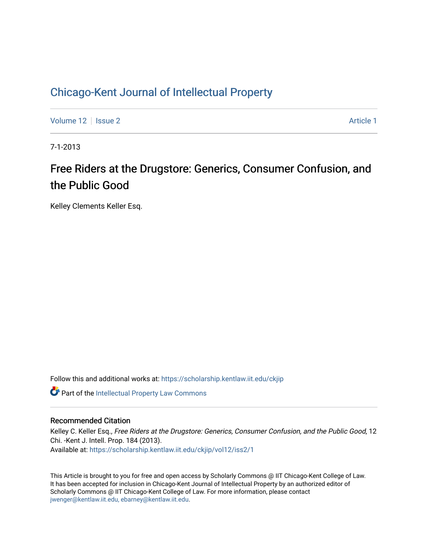# [Chicago-Kent Journal of Intellectual Property](https://scholarship.kentlaw.iit.edu/ckjip)

[Volume 12](https://scholarship.kentlaw.iit.edu/ckjip/vol12) | [Issue 2](https://scholarship.kentlaw.iit.edu/ckjip/vol12/iss2) Article 1

7-1-2013

# Free Riders at the Drugstore: Generics, Consumer Confusion, and the Public Good

Kelley Clements Keller Esq.

Follow this and additional works at: [https://scholarship.kentlaw.iit.edu/ckjip](https://scholarship.kentlaw.iit.edu/ckjip?utm_source=scholarship.kentlaw.iit.edu%2Fckjip%2Fvol12%2Fiss2%2F1&utm_medium=PDF&utm_campaign=PDFCoverPages) 

Part of the [Intellectual Property Law Commons](http://network.bepress.com/hgg/discipline/896?utm_source=scholarship.kentlaw.iit.edu%2Fckjip%2Fvol12%2Fiss2%2F1&utm_medium=PDF&utm_campaign=PDFCoverPages) 

## Recommended Citation

Kelley C. Keller Esq., Free Riders at the Drugstore: Generics, Consumer Confusion, and the Public Good, 12 Chi. -Kent J. Intell. Prop. 184 (2013). Available at: [https://scholarship.kentlaw.iit.edu/ckjip/vol12/iss2/1](https://scholarship.kentlaw.iit.edu/ckjip/vol12/iss2/1?utm_source=scholarship.kentlaw.iit.edu%2Fckjip%2Fvol12%2Fiss2%2F1&utm_medium=PDF&utm_campaign=PDFCoverPages) 

This Article is brought to you for free and open access by Scholarly Commons @ IIT Chicago-Kent College of Law. It has been accepted for inclusion in Chicago-Kent Journal of Intellectual Property by an authorized editor of Scholarly Commons @ IIT Chicago-Kent College of Law. For more information, please contact [jwenger@kentlaw.iit.edu, ebarney@kentlaw.iit.edu.](mailto:jwenger@kentlaw.iit.edu,%20ebarney@kentlaw.iit.edu)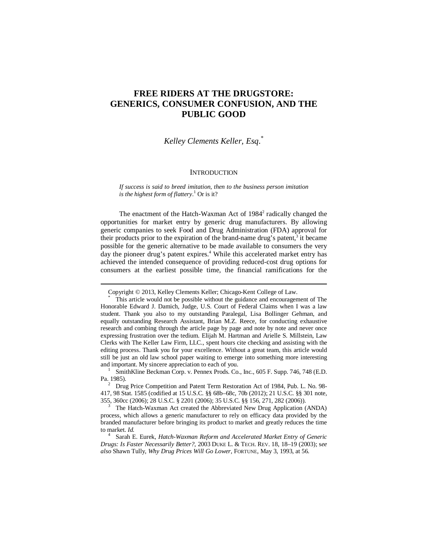# **FREE RIDERS AT THE DRUGSTORE: GENERICS, CONSUMER CONFUSION, AND THE PUBLIC GOOD**

# *Kelley Clements Keller, Esq*. \*

#### **INTRODUCTION**

*If success is said to breed imitation, then to the business person imitation is the highest form of flattery*. <sup>1</sup> Or is it?

The enactment of the Hatch-Waxman Act of 1984<sup>2</sup> radically changed the opportunities for market entry by generic drug manufacturers. By allowing generic companies to seek Food and Drug Administration (FDA) approval for their products prior to the expiration of the brand-name drug's patent,<sup>3</sup> it became possible for the generic alternative to be made available to consumers the very day the pioneer drug's patent expires.<sup>4</sup> While this accelerated market entry has achieved the intended consequence of providing reduced-cost drug options for consumers at the earliest possible time, the financial ramifications for the

Copyright © 2013, Kelley Clements Keller; Chicago-Kent College of Law.

This article would not be possible without the guidance and encouragement of The Honorable Edward J. Damich, Judge, U.S. Court of Federal Claims when I was a law student. Thank you also to my outstanding Paralegal, Lisa Bollinger Gehman, and equally outstanding Research Assistant, Brian M.Z. Reece, for conducting exhaustive research and combing through the article page by page and note by note and never once expressing frustration over the tedium. Elijah M. Hartman and Arielle S. Millstein, Law Clerks with The Keller Law Firm, LLC., spent hours cite checking and assisting with the editing process. Thank you for your excellence. Without a great team, this article would still be just an old law school paper waiting to emerge into something more interesting and important. My sincere appreciation to each of you.

<sup>1</sup> SmithKline Beckman Corp. v. Pennex Prods. Co., Inc., 605 F. Supp. 746, 748 (E.D. Pa. 1985).

<sup>&</sup>lt;sup>2</sup> Drug Price Competition and Patent Term Restoration Act of 1984, Pub. L. No. 98-417, 98 Stat. 1585 (codified at 15 U.S.C. §§ 68b–68c, 70b (2012); 21 U.S.C. §§ 301 note, 355, 360cc (2006); 28 U.S.C. § 2201 (2006); 35 U.S.C. §§ 156, 271, 282 (2006)).

<sup>3</sup> The Hatch-Waxman Act created the Abbreviated New Drug Application (ANDA) process, which allows a generic manufacturer to rely on efficacy data provided by the branded manufacturer before bringing its product to market and greatly reduces the time to market. *Id.*

<sup>4</sup> Sarah E. Eurek, *Hatch-Waxman Reform and Accelerated Market Entry of Generic Drugs: Is Faster Necessarily Better?*, 2003 DUKE L. & TECH. REV. 18, 18–19 (2003); s*ee also* Shawn Tully, *Why Drug Prices Will Go Lower,* FORTUNE, May 3, 1993, at 56.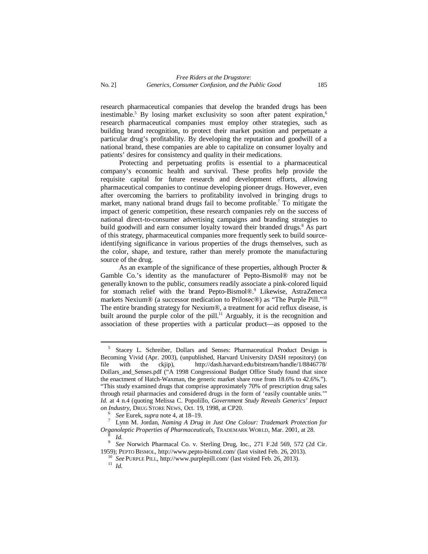research pharmaceutical companies that develop the branded drugs has been inestimable.<sup>5</sup> By losing market exclusivity so soon after patent expiration,<sup>6</sup> research pharmaceutical companies must employ other strategies, such as building brand recognition, to protect their market position and perpetuate a particular drug's profitability. By developing the reputation and goodwill of a national brand, these companies are able to capitalize on consumer loyalty and patients' desires for consistency and quality in their medications.

Protecting and perpetuating profits is essential to a pharmaceutical company's economic health and survival. These profits help provide the requisite capital for future research and development efforts, allowing pharmaceutical companies to continue developing pioneer drugs. However, even after overcoming the barriers to profitability involved in bringing drugs to market, many national brand drugs fail to become profitable.<sup>7</sup> To mitigate the impact of generic competition, these research companies rely on the success of national direct-to-consumer advertising campaigns and branding strategies to build goodwill and earn consumer loyalty toward their branded drugs.<sup>8</sup> As part of this strategy, pharmaceutical companies more frequently seek to build sourceidentifying significance in various properties of the drugs themselves, such as the color, shape, and texture, rather than merely promote the manufacturing source of the drug.

As an example of the significance of these properties, although Procter & Gamble Co.'s identity as the manufacturer of Pepto-Bismol® may not be generally known to the public, consumers readily associate a pink-colored liquid for stomach relief with the brand Pepto-Bismol®.<sup>9</sup> Likewise, AstraZeneca markets Nexium® (a successor medication to Prilosec®) as "The Purple Pill."<sup>10</sup> The entire branding strategy for Nexium®, a treatment for acid reflux disease, is built around the purple color of the pill.<sup>11</sup> Arguably, it is the recognition and association of these properties with a particular product—as opposed to the

<sup>&</sup>lt;sup>5</sup> Stacey L. Schreiber, Dollars and Senses: Pharmaceutical Product Design is Becoming Vivid (Apr. 2003), (unpublished, Harvard University DASH repository) (on file with the ckjip), http://dash.harvard.edu/bitstream/handle/1/8846778/ Dollars\_and\_Senses.pdf ("A 1998 Congressional Budget Office Study found that since the enactment of Hatch-Waxman, the generic market share rose from 18.6% to 42.6%."). "This study examined drugs that comprise approximately 70% of prescription drug sales through retail pharmacies and considered drugs in the form of 'easily countable units.'" *Id.* at 4 n.4 (quoting Melissa C. Popolillo, *Government Study Reveals Generics' Impact on Industry*, DRUG STORE NEWS, Oct. 19, 1998, at CP20.

<sup>6</sup> *See* Eurek, *supra* note 4, at 18–19.

<sup>7</sup> Lynn M. Jordan, *Naming A Drug in Just One Colour: Trademark Protection for Organoleptic Properties of Pharmaceuticals*, TRADEMARK WORLD, Mar. 2001, at 28. 8

*Id.*

<sup>9</sup> *See* Norwich Pharmacal Co. v. Sterling Drug, Inc., 271 F.2d 569, 572 (2d Cir. 1959); PEPTO BISMOL, http://www.pepto-bismol.com/ (last visited Feb. 26, 2013).

<sup>10</sup> *See* PURPLE PILL, http://www.purplepill.com/ (last visited Feb. 26, 2013).

<sup>11</sup> *Id.*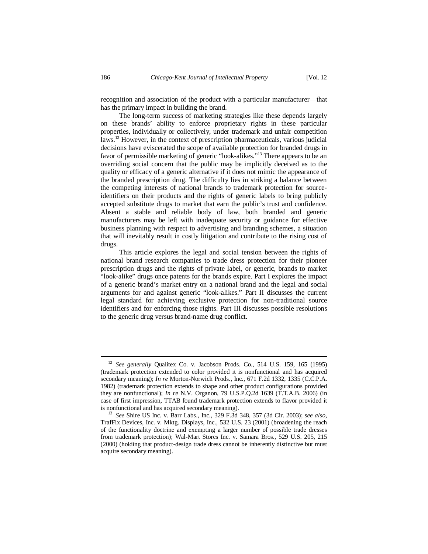recognition and association of the product with a particular manufacturer—that has the primary impact in building the brand.

The long-term success of marketing strategies like these depends largely on these brands' ability to enforce proprietary rights in these particular properties, individually or collectively, under trademark and unfair competition laws.<sup>12</sup> However, in the context of prescription pharmaceuticals, various judicial decisions have eviscerated the scope of available protection for branded drugs in favor of permissible marketing of generic "look-alikes."<sup>13</sup> There appears to be an overriding social concern that the public may be implicitly deceived as to the quality or efficacy of a generic alternative if it does not mimic the appearance of the branded prescription drug. The difficulty lies in striking a balance between the competing interests of national brands to trademark protection for sourceidentifiers on their products and the rights of generic labels to bring publicly accepted substitute drugs to market that earn the public's trust and confidence. Absent a stable and reliable body of law, both branded and generic manufacturers may be left with inadequate security or guidance for effective business planning with respect to advertising and branding schemes, a situation that will inevitably result in costly litigation and contribute to the rising cost of drugs.

This article explores the legal and social tension between the rights of national brand research companies to trade dress protection for their pioneer prescription drugs and the rights of private label, or generic, brands to market "look-alike" drugs once patents for the brands expire. Part I explores the impact of a generic brand's market entry on a national brand and the legal and social arguments for and against generic "look-alikes." Part II discusses the current legal standard for achieving exclusive protection for non-traditional source identifiers and for enforcing those rights. Part III discusses possible resolutions to the generic drug versus brand-name drug conflict.

<sup>12</sup> *See generally* Qualitex Co. v. Jacobson Prods. Co., 514 U.S. 159, 165 (1995) (trademark protection extended to color provided it is nonfunctional and has acquired secondary meaning); *In re* Morton-Norwich Prods., Inc., 671 F.2d 1332, 1335 (C.C.P.A. 1982) (trademark protection extends to shape and other product configurations provided they are nonfunctional); *In re* N.V. Organon, 79 U.S.P.Q.2d 1639 (T.T.A.B. 2006) (in case of first impression, TTAB found trademark protection extends to flavor provided it is nonfunctional and has acquired secondary meaning).

<sup>13</sup> *See* Shire US Inc. v. Barr Labs., Inc., 329 F.3d 348, 357 (3d Cir. 2003); s*ee also,* TrafFix Devices, Inc. v. Mktg. Displays, Inc., 532 U.S. 23 (2001) (broadening the reach of the functionality doctrine and exempting a larger number of possible trade dresses from trademark protection); Wal-Mart Stores Inc. v. Samara Bros., 529 U.S. 205, 215 (2000) (holding that product-design trade dress cannot be inherently distinctive but must acquire secondary meaning).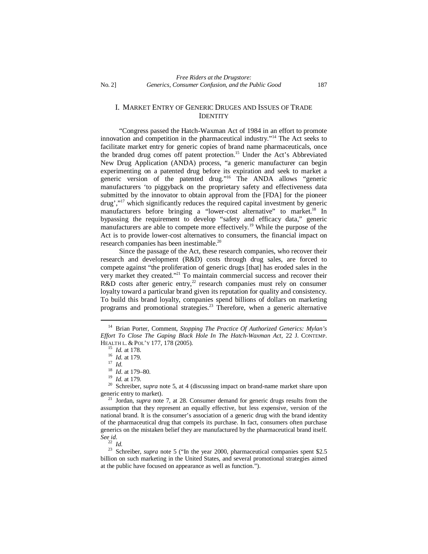## I. MARKET ENTRY OF GENERIC DRUGES AND ISSUES OF TRADE IDENTITY

"Congress passed the Hatch-Waxman Act of 1984 in an effort to promote innovation and competition in the pharmaceutical industry."<sup>14</sup> The Act seeks to facilitate market entry for generic copies of brand name pharmaceuticals, once the branded drug comes off patent protection.<sup>15</sup> Under the Act's Abbreviated New Drug Application (ANDA) process, "a generic manufacturer can begin experimenting on a patented drug before its expiration and seek to market a generic version of the patented drug."<sup>16</sup> The ANDA allows "generic manufacturers 'to piggyback on the proprietary safety and effectiveness data submitted by the innovator to obtain approval from the [FDA] for the pioneer drug',"<sup>17</sup> which significantly reduces the required capital investment by generic manufacturers before bringing a "lower-cost alternative" to market.<sup>18</sup> In bypassing the requirement to develop "safety and efficacy data," generic manufacturers are able to compete more effectively.<sup>19</sup> While the purpose of the Act is to provide lower-cost alternatives to consumers, the financial impact on research companies has been inestimable.<sup>20</sup>

Since the passage of the Act, these research companies, who recover their research and development (R&D) costs through drug sales, are forced to compete against "the proliferation of generic drugs [that] has eroded sales in the very market they created."<sup>21</sup> To maintain commercial success and recover their R&D costs after generic entry,<sup>22</sup> research companies must rely on consumer loyalty toward a particular brand given its reputation for quality and consistency. To build this brand loyalty, companies spend billions of dollars on marketing programs and promotional strategies.<sup>23</sup> Therefore, when a generic alternative

<sup>22</sup> *Id.*

<sup>23</sup> Schreiber, *supra* note 5 ("In the year 2000, pharmaceutical companies spent \$2.5 billion on such marketing in the United States, and several promotional strategies aimed at the public have focused on appearance as well as function.").

<sup>14</sup> Brian Porter, Comment, *Stopping The Practice Of Authorized Generics: Mylan's Effort To Close The Gaping Black Hole In The Hatch-Waxman Act*, 22 J. CONTEMP. HEALTH L. & POL'Y 177, 178 (2005).

<sup>15</sup> *Id.* at 178.

<sup>16</sup> *Id.* at 179.

<sup>17</sup> *Id.*

<sup>18</sup> *Id*. at 179–80.

<sup>19</sup> *Id.* at 179.

<sup>20</sup> Schreiber, s*upra* note 5, at 4 (discussing impact on brand-name market share upon generic entry to market).

<sup>21</sup> Jordan, *supra* note 7, at 28. Consumer demand for generic drugs results from the assumption that they represent an equally effective, but less expensive, version of the national brand. It is the consumer's association of a generic drug with the brand identity of the pharmaceutical drug that compels its purchase. In fact, consumers often purchase generics on the mistaken belief they are manufactured by the pharmaceutical brand itself. *See id.*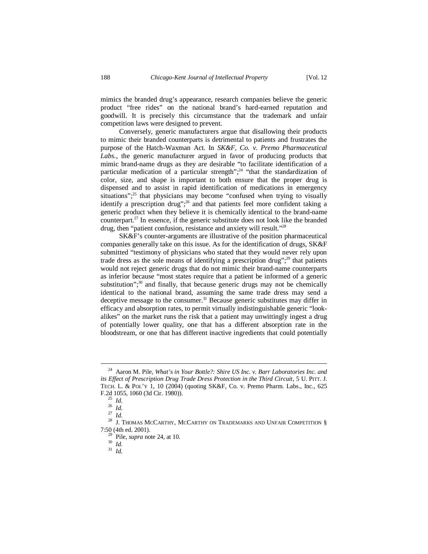mimics the branded drug's appearance, research companies believe the generic product "free rides" on the national brand's hard-earned reputation and goodwill. It is precisely this circumstance that the trademark and unfair competition laws were designed to prevent.

Conversely, generic manufacturers argue that disallowing their products to mimic their branded counterparts is detrimental to patients and frustrates the purpose of the Hatch-Waxman Act. In *SK&F, Co. v. Premo Pharmaceutical*  Labs., the generic manufacturer argued in favor of producing products that mimic brand-name drugs as they are desirable "to facilitate identification of a particular medication of a particular strength";<sup>24</sup> "that the standardization of color, size, and shape is important to both ensure that the proper drug is dispensed and to assist in rapid identification of medications in emergency situations";<sup>25</sup> that physicians may become "confused when trying to visually identify a prescription drug";<sup>26</sup> and that patients feel more confident taking a generic product when they believe it is chemically identical to the brand-name counterpart.<sup>27</sup> In essence, if the generic substitute does not look like the branded drug, then "patient confusion, resistance and anxiety will result."<sup>28</sup>

SK&F's counter-arguments are illustrative of the position pharmaceutical companies generally take on this issue. As for the identification of drugs, SK&F submitted "testimony of physicians who stated that they would never rely upon trade dress as the sole means of identifying a prescription drug";<sup>29</sup> that patients would not reject generic drugs that do not mimic their brand-name counterparts as inferior because "most states require that a patient be informed of a generic substitution"; $30$  and finally, that because generic drugs may not be chemically identical to the national brand, assuming the same trade dress may send a deceptive message to the consumer.<sup>31</sup> Because generic substitutes may differ in efficacy and absorption rates, to permit virtually indistinguishable generic "lookalikes" on the market runs the risk that a patient may unwittingly ingest a drug of potentially lower quality, one that has a different absorption rate in the bloodstream, or one that has different inactive ingredients that could potentially

<sup>24</sup> Aaron M. Pile, *What's in Your Bottle?: Shire US Inc. v. Barr Laboratories Inc. and its Effect of Prescription Drug Trade Dress Protection in the Third Circuit*, 5 U. PITT. J. TECH. L. & POL'Y 1, 10 (2004) (quoting SK&F, Co. v. Premo Pharm. Labs., Inc., 625 F.2d 1055, 1060 (3d Cir. 1980)).

<sup>25</sup> *Id.*

 $rac{26}{27}$  *Id.* 

<sup>27</sup> *Id.*

 $^{28}\,$  J. Thomas McCarthy, McCarthy on Trademarks and Unfair Competition  $\,$ 7:50 (4th ed. 2001).

<sup>29</sup> Pile, *supra* note 24, at 10.

<sup>30</sup> *Id.*

<sup>31</sup> *Id.*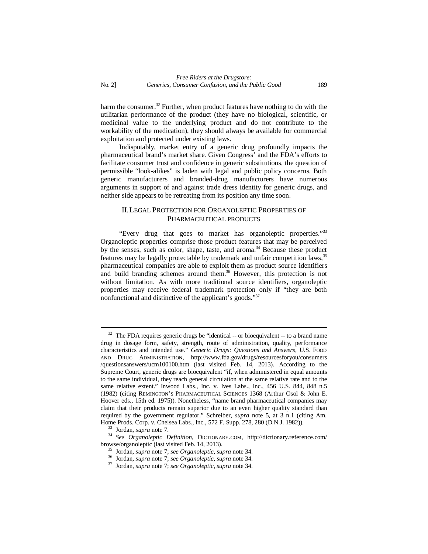harm the consumer.<sup>32</sup> Further, when product features have nothing to do with the utilitarian performance of the product (they have no biological, scientific, or medicinal value to the underlying product and do not contribute to the workability of the medication), they should always be available for commercial exploitation and protected under existing laws.

Indisputably, market entry of a generic drug profoundly impacts the pharmaceutical brand's market share. Given Congress' and the FDA's efforts to facilitate consumer trust and confidence in generic substitutions, the question of permissible "look-alikes" is laden with legal and public policy concerns. Both generic manufacturers and branded-drug manufacturers have numerous arguments in support of and against trade dress identity for generic drugs, and neither side appears to be retreating from its position any time soon.

## II.LEGAL PROTECTION FOR ORGANOLEPTIC PROPERTIES OF PHARMACEUTICAL PRODUCTS

"Every drug that goes to market has organoleptic properties."<sup>33</sup> Organoleptic properties comprise those product features that may be perceived by the senses, such as color, shape, taste, and aroma.<sup>34</sup> Because these product features may be legally protectable by trademark and unfair competition laws,<sup>35</sup> pharmaceutical companies are able to exploit them as product source identifiers and build branding schemes around them. <sup>36</sup> However, this protection is not without limitation. As with more traditional source identifiers, organoleptic properties may receive federal trademark protection only if "they are both nonfunctional and distinctive of the applicant's goods."<sup>37</sup>

 $32$  The FDA requires generic drugs be "identical -- or bioequivalent -- to a brand name drug in dosage form, safety, strength, route of administration, quality, performance characteristics and intended use." *Generic Drugs: Questions and Answers*, U.S. FOOD AND DRUG ADMINISTRATION, http://www.fda.gov/drugs/resourcesforyou/consumers /questionsanswers/ucm100100.htm (last visited Feb. 14, 2013). According to the Supreme Court, generic drugs are bioequivalent "if, when administered in equal amounts to the same individual, they reach general circulation at the same relative rate and to the same relative extent." Inwood Labs., Inc. v. Ives Labs., Inc., 456 U.S. 844, 848 n.5 (1982) (citing REMINGTON'S PHARMACEUTICAL SCIENCES 1368 (Arthur Osol & John E. Hoover eds., 15th ed. 1975)). Nonetheless, "name brand pharmaceutical companies may claim that their products remain superior due to an even higher quality standard than required by the government regulator." Schreiber, *supra* note 5, at 3 n.1 (citing Am. Home Prods. Corp. v. Chelsea Labs., Inc., 572 F. Supp. 278, 280 (D.N.J. 1982)).

<sup>33</sup> Jordan, *supra* note 7.

<sup>34</sup> *See Organoleptic Definition*, DICTIONARY.COM, http://dictionary.reference.com/ browse/organoleptic (last visited Feb. 14, 2013).

<sup>35</sup> Jordan, *supra* note 7; *see Organoleptic*, *supra* note 34.

<sup>36</sup> Jordan, *supra* note 7; *see Organoleptic*, *supra* note 34.

<sup>37</sup> Jordan, *supra* note 7; *see Organoleptic*, *supra* note 34.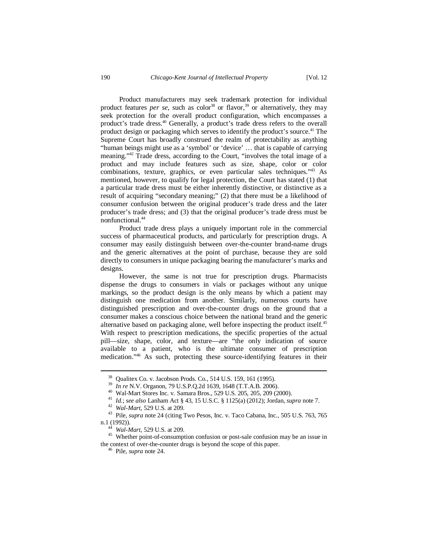Product manufacturers may seek trademark protection for individual product features *per se*, such as color<sup>38</sup> or flavor,<sup>39</sup> or alternatively, they may seek protection for the overall product configuration, which encompasses a product's trade dress.<sup>40</sup> Generally, a product's trade dress refers to the overall product design or packaging which serves to identify the product's source. <sup>41</sup> The Supreme Court has broadly construed the realm of protectability as anything "human beings might use as a 'symbol' or 'device' … that is capable of carrying meaning."<sup>42</sup> Trade dress, according to the Court, "involves the total image of a product and may include features such as size, shape, color or color combinations, texture, graphics, or even particular sales techniques."<sup>43</sup> As mentioned, however, to qualify for legal protection, the Court has stated (1) that a particular trade dress must be either inherently distinctive, or distinctive as a result of acquiring "secondary meaning;" (2) that there must be a likelihood of consumer confusion between the original producer's trade dress and the later producer's trade dress; and (3) that the original producer's trade dress must be nonfunctional.<sup>44</sup>

Product trade dress plays a uniquely important role in the commercial success of pharmaceutical products, and particularly for prescription drugs. A consumer may easily distinguish between over-the-counter brand-name drugs and the generic alternatives at the point of purchase, because they are sold directly to consumers in unique packaging bearing the manufacturer's marks and designs.

However, the same is not true for prescription drugs. Pharmacists dispense the drugs to consumers in vials or packages without any unique markings, so the product design is the only means by which a patient may distinguish one medication from another. Similarly, numerous courts have distinguished prescription and over-the-counter drugs on the ground that a consumer makes a conscious choice between the national brand and the generic alternative based on packaging alone, well before inspecting the product itself.<sup>45</sup> With respect to prescription medications, the specific properties of the actual pill—size, shape, color, and texture—are "the only indication of source available to a patient, who is the ultimate consumer of prescription medication."<sup>46</sup> As such, protecting these source-identifying features in their

<sup>38</sup> Qualitex Co. v. Jacobson Prods. Co., 514 U.S. 159, 161 (1995).

<sup>39</sup> *In re* N.V. Organon, 79 U.S.P.Q.2d 1639, 1648 (T.T.A.B. 2006).

<sup>40</sup> Wal-Mart Stores Inc. v. Samara Bros., 529 U.S. 205, 205, 209 (2000).

<sup>41</sup> *Id.*; *see also* Lanham Act § 43, 15 U.S.C. § 1125(a) (2012); Jordan, *supra* note 7.

<sup>42</sup> *Wal-Mart*, 529 U.S. at 209.

<sup>43</sup> Pile, *supra* note 24 (citing Two Pesos, Inc. v. Taco Cabana, Inc., 505 U.S. 763, 765 n.1 (1992)).

<sup>44</sup> *Wal-Mart*, 529 U.S. at 209.

<sup>45</sup> Whether point-of-consumption confusion or post-sale confusion may be an issue in the context of over-the-counter drugs is beyond the scope of this paper.

<sup>46</sup> Pile, *supra* note 24.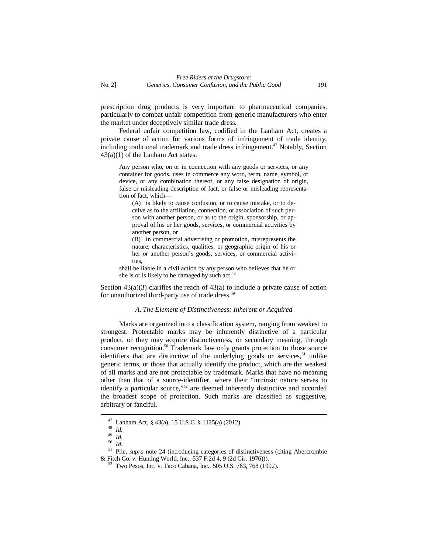prescription drug products is very important to pharmaceutical companies, particularly to combat unfair competition from generic manufacturers who enter the market under deceptively similar trade dress.

Federal unfair competition law, codified in the Lanham Act, creates a private cause of action for various forms of infringement of trade identity, including traditional trademark and trade dress infringement.<sup>47</sup> Notably, Section 43(a)(1) of the Lanham Act states:

Any person who, on or in connection with any goods or services, or any container for goods, uses in commerce any word, term, name, symbol, or device, or any combination thereof, or any false designation of origin, false or misleading description of fact, or false or misleading representation of fact, which—

(A) is likely to cause confusion, or to cause mistake, or to deceive as to the affiliation, connection, or association of such person with another person, or as to the origin, sponsorship, or approval of his or her goods, services, or commercial activities by another person, or

(B) in commercial advertising or promotion, misrepresents the nature, characteristics, qualities, or geographic origin of his or her or another person's goods, services, or commercial activities,

shall be liable in a civil action by any person who believes that he or she is or is likely to be damaged by such act. $48$ 

Section  $43(a)(3)$  clarifies the reach of  $43(a)$  to include a private cause of action for unauthorized third-party use of trade dress.<sup>49</sup>

#### *A. The Element of Distinctiveness: Inherent or Acquired*

Marks are organized into a classification system, ranging from weakest to strongest. Protectable marks may be inherently distinctive of a particular product, or they may acquire distinctiveness, or secondary meaning, through consumer recognition.<sup>50</sup> Trademark law only grants protection to those source identifiers that are distinctive of the underlying goods or services,  $51$  unlike generic terms, or those that actually identify the product, which are the weakest of all marks and are not protectable by trademark. Marks that have no meaning other than that of a source-identifier, where their "intrinsic nature serves to identify a particular source,"<sup>52</sup> are deemed inherently distinctive and accorded the broadest scope of protection. Such marks are classified as suggestive, arbitrary or fanciful.

 $47$  Lanham Act, § 43(a), 15 U.S.C. § 1125(a) (2012).

 $rac{48}{49}$  *Id.* 

 $\frac{49}{50}$  *Id.* 

<sup>50</sup> *Id.*

<sup>&</sup>lt;sup>51</sup> Pile, *supra* note 24 (introducing categories of distinctiveness (citing Abercrombie & Fitch Co. v. Hunting World, Inc., 537 F.2d 4, 9 (2d Cir. 1976))).

<sup>52</sup> Two Pesos, Inc. v. Taco Cabana, Inc., 505 U.S. 763, 768 (1992).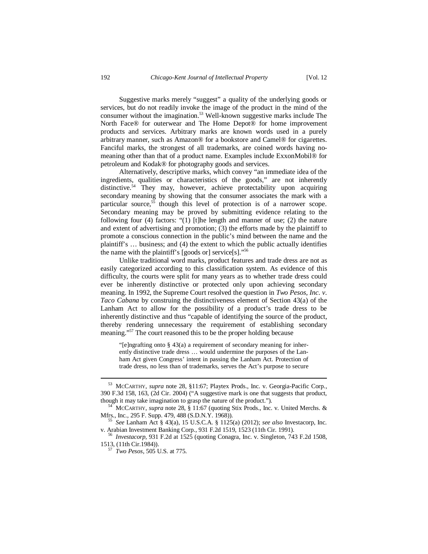Suggestive marks merely "suggest" a quality of the underlying goods or services, but do not readily invoke the image of the product in the mind of the consumer without the imagination.<sup>53</sup> Well-known suggestive marks include The North Face® for outerwear and The Home Depot® for home improvement products and services. Arbitrary marks are known words used in a purely arbitrary manner, such as Amazon® for a bookstore and Camel® for cigarettes. Fanciful marks, the strongest of all trademarks, are coined words having nomeaning other than that of a product name. Examples include ExxonMobil® for petroleum and Kodak® for photography goods and services.

Alternatively, descriptive marks, which convey "an immediate idea of the ingredients, qualities or characteristics of the goods," are not inherently distinctive.<sup>54</sup> They may, however, achieve protectability upon acquiring secondary meaning by showing that the consumer associates the mark with a particular source, $55$  though this level of protection is of a narrower scope. Secondary meaning may be proved by submitting evidence relating to the following four (4) factors: "(1) [t]he length and manner of use; (2) the nature and extent of advertising and promotion; (3) the efforts made by the plaintiff to promote a conscious connection in the public's mind between the name and the plaintiff's … business; and (4) the extent to which the public actually identifies the name with the plaintiff's [goods or] service[s]."<sup>56</sup>

Unlike traditional word marks, product features and trade dress are not as easily categorized according to this classification system. As evidence of this difficulty, the courts were split for many years as to whether trade dress could ever be inherently distinctive or protected only upon achieving secondary meaning. In 1992, the Supreme Court resolved the question in *Two Pesos, Inc. v. Taco Cabana* by construing the distinctiveness element of Section 43(a) of the Lanham Act to allow for the possibility of a product's trade dress to be inherently distinctive and thus "capable of identifying the source of the product, thereby rendering unnecessary the requirement of establishing secondary meaning."<sup>57</sup> The court reasoned this to be the proper holding because

"[e]ngrafting onto § 43(a) a requirement of secondary meaning for inherently distinctive trade dress … would undermine the purposes of the Lanham Act given Congress' intent in passing the Lanham Act. Protection of trade dress, no less than of trademarks, serves the Act's purpose to secure

<sup>53</sup> MCCARTHY, *supra* note 28, §11:67; Playtex Prods., Inc. v. Georgia-Pacific Corp., 390 F.3d 158, 163, (2d Cir. 2004) ("A suggestive mark is one that suggests that product, though it may take imagination to grasp the nature of the product.").

<sup>54</sup> MCCARTHY, *supra* note 28, § 11:67 (quoting Stix Prods., Inc. v. United Merchs. & Mfrs., Inc., 295 F. Supp. 479, 488 (S.D.N.Y. 1968)).

<sup>55</sup> *See* Lanham Act § 43(a), 15 U.S.C.A. § 1125(a) (2012); *see also* Investacorp, Inc. v. Arabian Investment Banking Corp., 931 F.2d 1519, 1523 (11th Cir. 1991).

<sup>56</sup> *Investacorp*, 931 F.2d at 1525 (quoting Conagra, Inc. v. Singleton*,* 743 F.2d 1508, 1513, (11th Cir.1984)).

<sup>57</sup> *Two Pesos*, 505 U.S. at 775.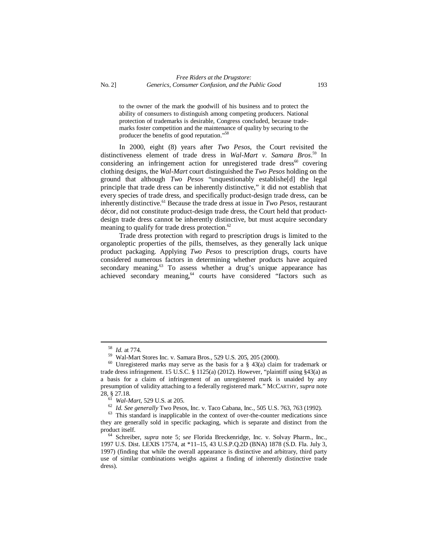to the owner of the mark the goodwill of his business and to protect the ability of consumers to distinguish among competing producers. National protection of trademarks is desirable, Congress concluded, because trademarks foster competition and the maintenance of quality by securing to the producer the benefits of good reputation." 58

In 2000, eight (8) years after *Two Pesos*, the Court revisited the distinctiveness element of trade dress in *Wal-Mart v. Samara Bros*. <sup>59</sup> In considering an infringement action for unregistered trade dress $^{60}$  covering clothing designs, the *Wal-Mart* court distinguished the *Two Pesos* holding on the ground that although *Two Pesos* "unquestionably establishe[d] the legal principle that trade dress can be inherently distinctive," it did not establish that every species of trade dress, and specifically product-design trade dress, can be inherently distinctive.<sup>61</sup> Because the trade dress at issue in *Two Pesos*, restaurant décor, did not constitute product-design trade dress, the Court held that productdesign trade dress cannot be inherently distinctive, but must acquire secondary meaning to qualify for trade dress protection.<sup>62</sup>

Trade dress protection with regard to prescription drugs is limited to the organoleptic properties of the pills, themselves, as they generally lack unique product packaging. Applying *Two Pesos* to prescription drugs, courts have considered numerous factors in determining whether products have acquired secondary meaning.<sup>63</sup> To assess whether a drug's unique appearance has achieved secondary meaning,<sup>64</sup> courts have considered "factors such as

<sup>58</sup> *Id.* at 774.

<sup>59</sup> Wal-Mart Stores Inc. v. Samara Bros., 529 U.S. 205, 205 (2000).

 $60$  Unregistered marks may serve as the basis for a § 43(a) claim for trademark or trade dress infringement. 15 U.S.C. § 1125(a) (2012). However, "plaintiff using §43(a) as a basis for a claim of infringement of an unregistered mark is unaided by any presumption of validity attaching to a federally registered mark." MCCARTHY, *supra* note 28, § 27.18.

<sup>61</sup> *Wal-Mart*, 529 U.S. at 205.

<sup>62</sup> *Id. See generally* Two Pesos, Inc. v. Taco Cabana, Inc., 505 U.S. 763, 763 (1992).

<sup>&</sup>lt;sup>63</sup> This standard is inapplicable in the context of over-the-counter medications since they are generally sold in specific packaging, which is separate and distinct from the product itself.

<sup>64</sup> Schreiber, *supra* note 5; s*ee* Florida Breckenridge, Inc. v. Solvay Pharm., Inc., 1997 U.S. Dist. LEXIS 17574, at \*11–15, 43 U.S.P.Q.2D (BNA) 1878 (S.D. Fla. July 3, 1997) (finding that while the overall appearance is distinctive and arbitrary, third party use of similar combinations weighs against a finding of inherently distinctive trade dress).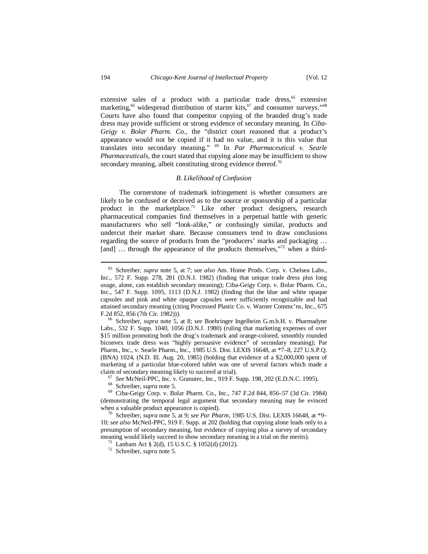extensive sales of a product with a particular trade dress, $65$  extensive marketing,<sup>66</sup> widespread distribution of starter kits,<sup>67</sup> and consumer surveys."<sup>68</sup> Courts have also found that competitor copying of the branded drug's trade dress may provide sufficient or strong evidence of secondary meaning. In *Ciba-Geigy v. Bolar Pharm. Co.*, the "district court reasoned that a product's appearance would not be copied if it had no value, and it is this value that translates into secondary meaning." <sup>69</sup> In *Par Pharmaceutical v. Searle Pharmaceuticals*, the court stated that copying alone may be insufficient to show secondary meaning, albeit constituting strong evidence thereof.<sup>70</sup>

#### *B. Likelihood of Confusion*

The cornerstone of trademark infringement is whether consumers are likely to be confused or deceived as to the source or sponsorship of a particular product in the marketplace.<sup>71</sup> Like other product designers, research pharmaceutical companies find themselves in a perpetual battle with generic manufacturers who sell "look-alike," or confusingly similar, products and undercut their market share. Because consumers tend to draw conclusions regarding the source of products from the "producers' marks and packaging ... [and] ... through the appearance of the products themselves,"<sup>72</sup> when a third-

<sup>65</sup> Schreiber, *supra* note 5, at 7; s*ee also* Am. Home Prods. Corp. v. Chelsea Labs., Inc., 572 F. Supp. 278, 281 (D.N.J. 1982) (finding that unique trade dress plus long usage, alone, can establish secondary meaning); Ciba-Geigy Corp. v. Bolar Pharm. Co., Inc., 547 F. Supp. 1095, 1113 (D.N.J. 1982) (finding that the blue and white opaque capsules and pink and white opaque capsules were sufficiently recognizable and had attained secondary meaning (citing Processed Plastic Co. v. Warner Commc'ns, Inc., 675 F.2d 852, 856 (7th Cir. 1982))).

<sup>66</sup> Schreiber, *supra* note 5, at 8; *see* Boehringer Ingelheim G.m.b.H. v. Pharmadyne Labs., 532 F. Supp. 1040, 1056 (D.N.J. 1980) (ruling that marketing expenses of over \$15 million promoting both the drug's trademark and orange-colored, smoothly rounded biconvex trade dress was "highly persuasive evidence" of secondary meaning); Par Pharm., Inc., v. Searle Pharm., Inc., 1985 U.S. Dist. LEXIS 16648, at \*7–8, 227 U.S.P.Q. (BNA) 1024, (N.D. Ill. Aug. 20, 1985) (holding that evidence of a \$2,000,000 spent of marketing of a particular blue-colored tablet was one of several factors which made a claim of secondary meaning likely to succeed at trial).

<sup>67</sup> *See* McNeil-PPC, Inc. v. Granutec, Inc., 919 F. Supp. 198, 202 (E.D.N.C. 1995).

<sup>68</sup> Schreiber, *supra* note 5.

<sup>69</sup> Ciba-Geigy Corp. v. Bolar Pharm. Co., Inc., 747 F.2d 844, 856–57 (3d Cir. 1984) (demonstrating the temporal legal argument that secondary meaning may be evinced when a valuable product appearance is copied).

<sup>70</sup> Schreiber, *supra* note 5, at 9; s*ee Par Pharm*, 1985 U.S. Dist. LEXIS 16648, at \*9– 10; *see also* McNeil-PPC, 919 F. Supp. at 202 (holding that copying alone leads only to a presumption of secondary meaning, but evidence of copying plus a survey of secondary meaning would likely succeed to show secondary meaning in a trial on the merits).

<sup>&</sup>lt;sup>71</sup> Lanham Act § 2(d), 15 U.S.C. § 1052(d) (2012).

<sup>72</sup> Schreiber, *supra* note 5.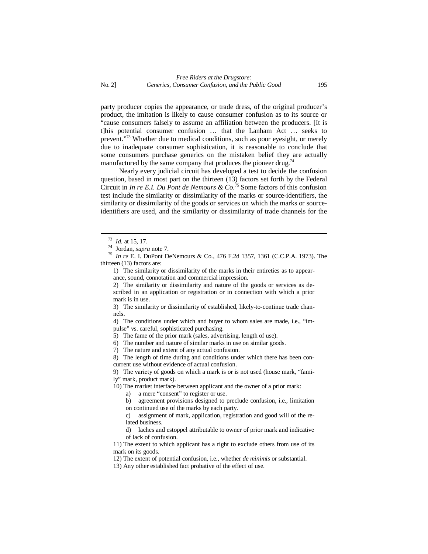party producer copies the appearance, or trade dress, of the original producer's product, the imitation is likely to cause consumer confusion as to its source or "cause consumers falsely to assume an affiliation between the producers. [It is t]his potential consumer confusion … that the Lanham Act … seeks to prevent."<sup>73</sup> Whether due to medical conditions, such as poor eyesight, or merely due to inadequate consumer sophistication, it is reasonable to conclude that some consumers purchase generics on the mistaken belief they are actually manufactured by the same company that produces the pioneer drug.<sup>74</sup>

Nearly every judicial circuit has developed a test to decide the confusion question, based in most part on the thirteen (13) factors set forth by the Federal Circuit in *In re E.I. Du Pont de Nemours & Co.*<sup>75</sup> Some factors of this confusion test include the similarity or dissimilarity of the marks or source-identifiers, the similarity or dissimilarity of the goods or services on which the marks or sourceidentifiers are used, and the similarity or dissimilarity of trade channels for the

1) The similarity or dissimilarity of the marks in their entireties as to appearance, sound, connotation and commercial impression.

2) The similarity or dissimilarity and nature of the goods or services as described in an application or registration or in connection with which a prior mark is in use.

3) The similarity or dissimilarity of established, likely-to-continue trade channels.

4) The conditions under which and buyer to whom sales are made, i.e., "impulse" vs. careful, sophisticated purchasing.

5) The fame of the prior mark (sales, advertising, length of use).

6) The number and nature of similar marks in use on similar goods.

7) The nature and extent of any actual confusion.

8) The length of time during and conditions under which there has been concurrent use without evidence of actual confusion.

9) The variety of goods on which a mark is or is not used (house mark, "family" mark, product mark).

10) The market interface between applicant and the owner of a prior mark:

a) a mere "consent" to register or use.

b) agreement provisions designed to preclude confusion, i.e., limitation on continued use of the marks by each party.

c) assignment of mark, application, registration and good will of the related business.

d) laches and estoppel attributable to owner of prior mark and indicative of lack of confusion.

11) The extent to which applicant has a right to exclude others from use of its mark on its goods.

12) The extent of potential confusion, i.e., whether *de minimis* or substantial.

13) Any other established fact probative of the effect of use.

<sup>73</sup> *Id.* at 15, 17.

<sup>74</sup> Jordan, *supra* note 7.

<sup>75</sup> *In re* E. I. DuPont DeNemours & Co., 476 F.2d 1357, 1361 (C.C.P.A. 1973). The thirteen (13) factors are: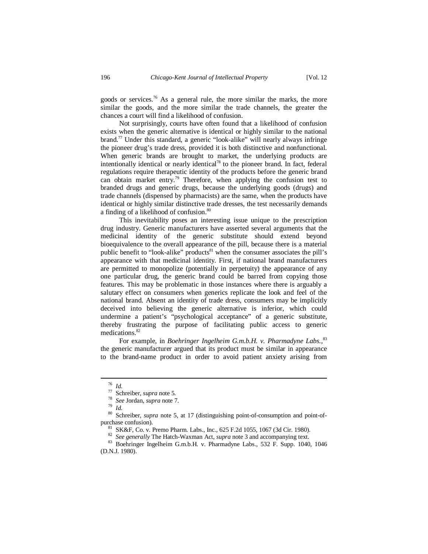goods or services.<sup>76</sup> As a general rule, the more similar the marks, the more similar the goods, and the more similar the trade channels, the greater the chances a court will find a likelihood of confusion.

Not surprisingly, courts have often found that a likelihood of confusion exists when the generic alternative is identical or highly similar to the national brand.<sup>77</sup> Under this standard, a generic "look-alike" will nearly always infringe the pioneer drug's trade dress, provided it is both distinctive and nonfunctional. When generic brands are brought to market, the underlying products are intentionally identical or nearly identical<sup>78</sup> to the pioneer brand. In fact, federal regulations require therapeutic identity of the products before the generic brand can obtain market entry.<sup>79</sup> Therefore, when applying the confusion test to branded drugs and generic drugs, because the underlying goods (drugs) and trade channels (dispensed by pharmacists) are the same, when the products have identical or highly similar distinctive trade dresses, the test necessarily demands a finding of a likelihood of confusion.<sup>80</sup>

This inevitability poses an interesting issue unique to the prescription drug industry. Generic manufacturers have asserted several arguments that the medicinal identity of the generic substitute should extend beyond bioequivalence to the overall appearance of the pill, because there is a material public benefit to "look-alike" products $81$  when the consumer associates the pill's appearance with that medicinal identity. First, if national brand manufacturers are permitted to monopolize (potentially in perpetuity) the appearance of any one particular drug, the generic brand could be barred from copying those features. This may be problematic in those instances where there is arguably a salutary effect on consumers when generics replicate the look and feel of the national brand. Absent an identity of trade dress, consumers may be implicitly deceived into believing the generic alternative is inferior, which could undermine a patient's "psychological acceptance" of a generic substitute, thereby frustrating the purpose of facilitating public access to generic medications.<sup>82</sup>

For example, in *Boehringer Ingelheim G.m.b.H. v. Pharmadyne Labs.,*<sup>83</sup> the generic manufacturer argued that its product must be similar in appearance to the brand-name product in order to avoid patient anxiety arising from

 $\frac{76}{77}$  *Id.* 

<sup>77</sup> Schreiber, *supra* note 5.

<sup>78</sup> *See* Jordan, *supra* note 7.

<sup>79</sup> *Id.*

<sup>80</sup> Schreiber, *supra* note 5, at 17 (distinguishing point-of-consumption and point-ofpurchase confusion).

<sup>81</sup> SK&F, Co. v. Premo Pharm. Labs., Inc., 625 F.2d 1055, 1067 (3d Cir. 1980).

<sup>&</sup>lt;sup>82</sup> *See generally* The Hatch-Waxman Act, *supra* note 3 and accompanying text.<br><sup>83</sup> Boehringer Ingelheim G m b H v Pharmadyne Labs 532 F Supp 1040

<sup>83</sup> Boehringer Ingelheim G.m.b.H. v. Pharmadyne Labs., 532 F. Supp. 1040, 1046 (D.N.J. 1980).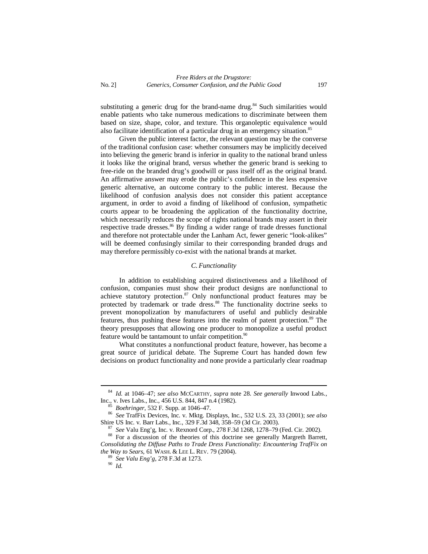substituting a generic drug for the brand-name drug.<sup>84</sup> Such similarities would enable patients who take numerous medications to discriminate between them based on size, shape, color, and texture. This organoleptic equivalence would also facilitate identification of a particular drug in an emergency situation.<sup>85</sup>

Given the public interest factor, the relevant question may be the converse of the traditional confusion case: whether consumers may be implicitly deceived into believing the generic brand is inferior in quality to the national brand unless it looks like the original brand, versus whether the generic brand is seeking to free-ride on the branded drug's goodwill or pass itself off as the original brand. An affirmative answer may erode the public's confidence in the less expensive generic alternative, an outcome contrary to the public interest. Because the likelihood of confusion analysis does not consider this patient acceptance argument, in order to avoid a finding of likelihood of confusion, sympathetic courts appear to be broadening the application of the functionality doctrine, which necessarily reduces the scope of rights national brands may assert in their respective trade dresses.<sup>86</sup> By finding a wider range of trade dresses functional and therefore not protectable under the Lanham Act, fewer generic "look-alikes" will be deemed confusingly similar to their corresponding branded drugs and may therefore permissibly co-exist with the national brands at market.

#### *C. Functionality*

In addition to establishing acquired distinctiveness and a likelihood of confusion, companies must show their product designs are nonfunctional to achieve statutory protection.<sup>87</sup> Only nonfunctional product features may be protected by trademark or trade dress.<sup>88</sup> The functionality doctrine seeks to prevent monopolization by manufacturers of useful and publicly desirable features, thus pushing these features into the realm of patent protection.<sup>89</sup> The theory presupposes that allowing one producer to monopolize a useful product feature would be tantamount to unfair competition.<sup>90</sup>

What constitutes a nonfunctional product feature, however, has become a great source of juridical debate. The Supreme Court has handed down few decisions on product functionality and none provide a particularly clear roadmap

<sup>84</sup> *Id.* at 1046–47; *see also* MCCARTHY, *supra* note 28. *See generally* Inwood Labs., Inc., v. Ives Labs., Inc., 456 U.S. 844, 847 n.4 (1982).

<sup>85</sup> *Boehringer*, 532 F. Supp. at 1046–47.

<sup>86</sup> *See* TrafFix Devices, Inc. v. Mktg. Displays, Inc., 532 U.S. 23, 33 (2001); *see also* Shire US Inc. v. Barr Labs., Inc., 329 F.3d 348, 358–59 (3d Cir. 2003).

<sup>87</sup> *See* Valu Eng'g, Inc. v. Rexnord Corp., 278 F.3d 1268, 1278–79 (Fed. Cir. 2002).

<sup>88</sup> For a discussion of the theories of this doctrine see generally Margreth Barrett, *Consolidating the Diffuse Paths to Trade Dress Functionality: Encountering TrafFix on the Way to Sears*, 61 WASH. & LEE L. REV. 79 (2004).

<sup>89</sup> *See Valu Eng'g*, 278 F.3d at 1273.

<sup>90</sup> *Id.*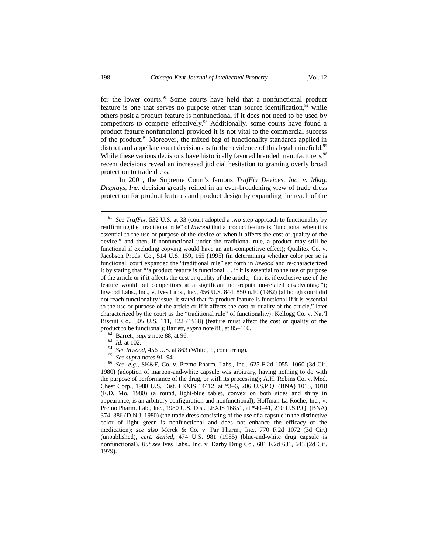for the lower courts. $91$  Some courts have held that a nonfunctional product feature is one that serves no purpose other than source identification, $92$  while others posit a product feature is nonfunctional if it does not need to be used by competitors to compete effectively.<sup>93</sup> Additionally, some courts have found a product feature nonfunctional provided it is not vital to the commercial success of the product.<sup>94</sup> Moreover, the mixed bag of functionality standards applied in district and appellate court decisions is further evidence of this legal minefield.<sup>95</sup> While these various decisions have historically favored branded manufacturers,  $96$ recent decisions reveal an increased judicial hesitation to granting overly broad protection to trade dress.

In 2001, the Supreme Court's famous *TrafFix Devices, Inc. v. Mktg. Displays, Inc.* decision greatly reined in an ever-broadening view of trade dress protection for product features and product design by expanding the reach of the

- <sup>92</sup> Barrett, *supra* note 88, at 96.
- <sup>93</sup> *Id.* at 102.
- <sup>94</sup> *See Inwood*, 456 U.S. at 863 (White, J., concurring).
- <sup>95</sup> *See supra* notes 91–94.

<sup>91</sup> *See TrafFix*, 532 U.S. at 33 (court adopted a two-step approach to functionality by reaffirming the "traditional rule" of *Inwood* that a product feature is "functional when it is essential to the use or purpose of the device or when it affects the cost or quality of the device," and then, if nonfunctional under the traditional rule, a product may still be functional if excluding copying would have an anti-competitive effect); Qualitex Co. v. Jacobson Prods. Co., 514 U.S. 159, 165 (1995) (in determining whether color per se is functional, court expanded the "traditional rule" set forth in *Inwood* and re-characterized it by stating that "'a product feature is functional … if it is essential to the use or purpose of the article or if it affects the cost or quality of the article,' that is, if exclusive use of the feature would put competitors at a significant non-reputation-related disadvantage"); Inwood Labs., Inc., v. Ives Labs., Inc., 456 U.S. 844, 850 n.10 (1982) (although court did not reach functionality issue, it stated that "a product feature is functional if it is essential to the use or purpose of the article or if it affects the cost or quality of the article," later characterized by the court as the "traditional rule" of functionality); Kellogg Co. v. Nat'l Biscuit Co., 305 U.S. 111, 122 (1938) (feature must affect the cost or quality of the product to be functional); Barrett, *supra* note 88, at 85–110.

<sup>96</sup> *See, e.g.*, SK&F, Co. v. Premo Pharm. Labs., Inc., 625 F.2d 1055, 1060 (3d Cir. 1980) (adoption of maroon-and-white capsule was arbitrary, having nothing to do with the purpose of performance of the drug, or with its processing); A.H. Robins Co. v. Med. Chest Corp., 1980 U.S. Dist. LEXIS 14412, at \*3–6, 206 U.S.P.Q. (BNA) 1015, 1018 (E.D. Mo. 1980) (a round, light-blue tablet, convex on both sides and shiny in appearance, is an arbitrary configuration and nonfunctional); Hoffman La Roche, Inc., v. Premo Pharm. Lab., Inc., 1980 U.S. Dist. LEXIS 16851, at \*40–41, 210 U.S.P.Q. (BNA) 374, 386 (D.N.J. 1980) (the trade dress consisting of the use of a capsule in the distinctive color of light green is nonfunctional and does not enhance the efficacy of the medication); *see also* Merck & Co. v. Par Pharm., Inc., 770 F.2d 1072 (3d Cir.) (unpublished), *cert. denied*, 474 U.S. 981 (1985) (blue-and-white drug capsule is nonfunctional). *But see* Ives Labs., Inc. v. Darby Drug Co*.*, 601 F.2d 631, 643 (2d Cir. 1979).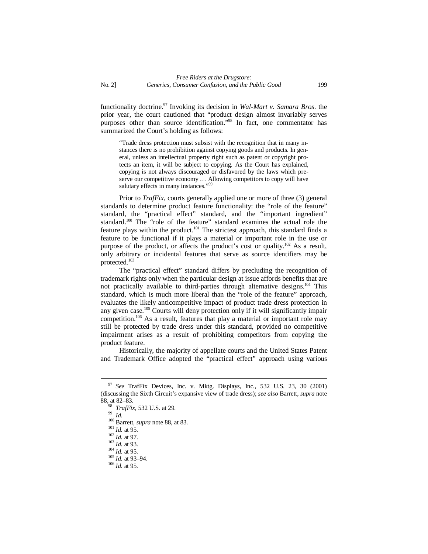functionality doctrine.<sup>97</sup> Invoking its decision in *Wal-Mart v. Samara Bros*. the prior year, the court cautioned that "product design almost invariably serves purposes other than source identification."<sup>98</sup> In fact, one commentator has summarized the Court's holding as follows:

"Trade dress protection must subsist with the recognition that in many instances there is no prohibition against copying goods and products. In general, unless an intellectual property right such as patent or copyright protects an item, it will be subject to copying. As the Court has explained, copying is not always discouraged or disfavored by the laws which preserve our competitive economy … Allowing competitors to copy will have salutary effects in many instances."<sup>99</sup>

Prior to *TrafFix*, courts generally applied one or more of three (3) general standards to determine product feature functionality: the "role of the feature" standard, the "practical effect" standard, and the "important ingredient" standard.<sup>100</sup> The "role of the feature" standard examines the actual role the feature plays within the product.<sup>101</sup> The strictest approach, this standard finds a feature to be functional if it plays a material or important role in the use or purpose of the product, or affects the product's cost or quality.<sup>102</sup> As a result, only arbitrary or incidental features that serve as source identifiers may be protected.<sup>103</sup>

The "practical effect" standard differs by precluding the recognition of trademark rights only when the particular design at issue affords benefits that are not practically available to third-parties through alternative designs.<sup>104</sup> This standard, which is much more liberal than the "role of the feature" approach, evaluates the likely anticompetitive impact of product trade dress protection in any given case.<sup>105</sup> Courts will deny protection only if it will significantly impair competition.<sup>106</sup> As a result, features that play a material or important role may still be protected by trade dress under this standard, provided no competitive impairment arises as a result of prohibiting competitors from copying the product feature.

Historically, the majority of appellate courts and the United States Patent and Trademark Office adopted the "practical effect" approach using various

<sup>99</sup> *Id.*

<sup>97</sup> *See* TrafFix Devices, Inc. v. Mktg. Displays, Inc., 532 U.S. 23, 30 (2001) (discussing the Sixth Circuit's expansive view of trade dress); *see also* Barrett, *supra* note 88, at 82–83.

*TrafFix*, 532 U.S. at 29.

<sup>100</sup> Barrett, *supra* note 88, at 83.

<sup>101</sup> *Id.* at 95.

<sup>102</sup> *Id.* at 97.

<sup>103</sup> *Id.* at 93.

 $^{104}$  *Id.* at 95.

 $\frac{105 \text{ Hz}}{1d. \text{ at } 93-94.}$ 

<sup>106</sup> *Id.* at 95.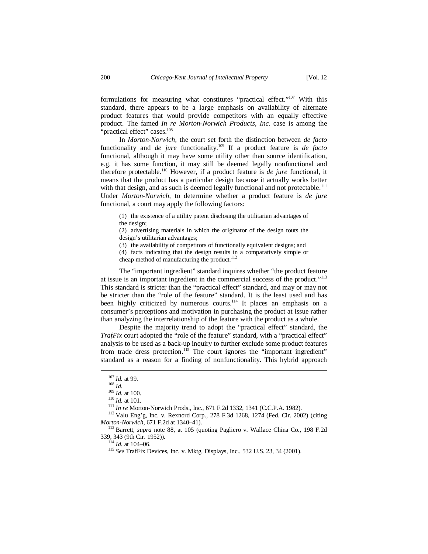formulations for measuring what constitutes "practical effect."<sup>107</sup> With this standard, there appears to be a large emphasis on availability of alternate product features that would provide competitors with an equally effective product. The famed *In re Morton-Norwich Products, Inc.* case is among the "practical effect" cases.<sup>108</sup>

In *Morton-Norwich*, the court set forth the distinction between *de facto*  functionality and *de jure* functionality.<sup>109</sup> If a product feature is *de facto* functional, although it may have some utility other than source identification, e.g. it has some function, it may still be deemed legally nonfunctional and therefore protectable.<sup>110</sup> However, if a product feature is *de jure* functional, it means that the product has a particular design because it actually works better with that design, and as such is deemed legally functional and not protectable.<sup>111</sup> Under *Morton-Norwich*, to determine whether a product feature is *de jure* functional, a court may apply the following factors:

(1) the existence of a utility patent disclosing the utilitarian advantages of the design;

(2) advertising materials in which the originator of the design touts the design's utilitarian advantages;

(3) the availability of competitors of functionally equivalent designs; and

(4) facts indicating that the design results in a comparatively simple or cheap method of manufacturing the product.<sup>112</sup>

The "important ingredient" standard inquires whether "the product feature at issue is an important ingredient in the commercial success of the product."<sup>113</sup> This standard is stricter than the "practical effect" standard, and may or may not be stricter than the "role of the feature" standard. It is the least used and has been highly criticized by numerous courts.<sup>114</sup> It places an emphasis on a consumer's perceptions and motivation in purchasing the product at issue rather than analyzing the interrelationship of the feature with the product as a whole.

Despite the majority trend to adopt the "practical effect" standard, the *TrafFix* court adopted the "role of the feature" standard, with a "practical effect" analysis to be used as a back-up inquiry to further exclude some product features from trade dress protection.<sup>115</sup> The court ignores the "important ingredient" standard as a reason for a finding of nonfunctionality. This hybrid approach

 $114$  *Id.* at 104–06.

<sup>107</sup> *Id.* at 99.

<sup>108</sup> *Id.*

 $^{109}$  *Id.* at 100.

<sup>110</sup> *Id.* at 101.

<sup>111</sup> *In re* Morton-Norwich Prods., Inc., 671 F.2d 1332, 1341 (C.C.P.A. 1982).

<sup>112</sup> Valu Eng'g, Inc. v. Rexnord Corp., 278 F.3d 1268, 1274 (Fed. Cir. 2002) (citing *Morton-Norwich*, 671 F.2d at 1340–41).

<sup>113</sup> Barrett*, supra* note 88, at 105 (quoting Pagliero v. Wallace China Co., 198 F.2d 339, 343 (9th Cir. 1952)).

<sup>115</sup> *See* TrafFix Devices, Inc. v. Mktg. Displays, Inc., 532 U.S. 23, 34 (2001).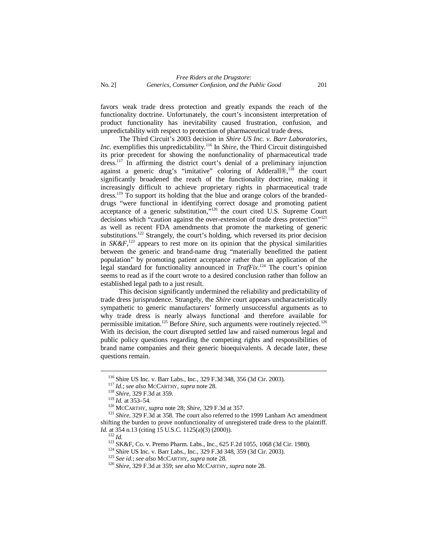favors weak trade dress protection and greatly expands the reach of the functionality doctrine. Unfortunately, the court's inconsistent interpretation of product functionality has inevitability caused frustration, confusion, and unpredictability with respect to protection of pharmaceutical trade dress.

The Third Circuit's 2003 decision in *Shire US Inc. v. Barr Laboratories, Inc.* exemplifies this unpredictability.<sup>116</sup> In *Shire*, the Third Circuit distinguished its prior precedent for showing the nonfunctionality of pharmaceutical trade dress.<sup>117</sup> In affirming the district court's denial of a preliminary injunction against a generic drug's "imitative" coloring of Adderall®,<sup>118</sup> the court significantly broadened the reach of the functionality doctrine, making it increasingly difficult to achieve proprietary rights in pharmaceutical trade dress.<sup>119</sup> To support its holding that the blue and orange colors of the brandeddrugs "were functional in identifying correct dosage and promoting patient acceptance of a generic substitution," <sup>120</sup> the court cited U.S. Supreme Court decisions which "caution against the over-extension of trade dress protection"<sup>121</sup> as well as recent FDA amendments that promote the marketing of generic substitutions.<sup>122</sup> Strangely, the court's holding, which reversed its prior decision in  $SK\&F$ ,<sup>123</sup> appears to rest more on its opinion that the physical similarities between the generic and brand-name drug "materially benefitted the patient population" by promoting patient acceptance rather than an application of the legal standard for functionality announced in *TrafFix*. <sup>124</sup> The court's opinion seems to read as if the court wrote to a desired conclusion rather than follow an established legal path to a just result.

This decision significantly undermined the reliability and predictability of trade dress jurisprudence. Strangely, the *Shire* court appears uncharacteristically sympathetic to generic manufacturers' formerly unsuccessful arguments as to why trade dress is nearly always functional and therefore available for permissible imitation.<sup>125</sup> Before *Shire*, such arguments were routinely rejected.<sup>126</sup> With its decision, the court disrupted settled law and raised numerous legal and public policy questions regarding the competing rights and responsibilities of brand name companies and their generic bioequivalents. A decade later, these questions remain.

<sup>116</sup> Shire US Inc. v. Barr Labs., Inc., 329 F.3d 348, 356 (3d Cir. 2003).

<sup>117</sup> *Id*.; *see also* MCCARTHY, *supra* note 28.

<sup>118</sup> *Shire*, 329 F.3d at 359*.*

<sup>119</sup> *Id.* at 353–54.

<sup>120</sup> MCCARTHY*, supra* note 28; *Shire*, 329 F.3d at 357.

<sup>121</sup> *Shire,* 329 F.3d at 358. The court also referred to the 1999 Lanham Act amendment shifting the burden to prove nonfunctionality of unregistered trade dress to the plaintiff. *Id.* at 354 n.13 (citing 15 U.S.C. 1125(a)(3) (2000)).

<sup>122</sup> *Id.*

<sup>123&</sup>lt;br>123 SK&F, Co. v. Premo Pharm. Labs., Inc., 625 F.2d 1055, 1068 (3d Cir. 1980).

<sup>&</sup>lt;sup>124</sup> Shire US Inc. v. Barr Labs., Inc., 329 F.3d 348, 359 (3d Cir. 2003).

<sup>125</sup> *See id.*; *see also* MCCARTHY, *supra* note 28.

<sup>126</sup> *Shire*, 329 F.3d at 359; *see also* MCCARTHY, *supra* note 28.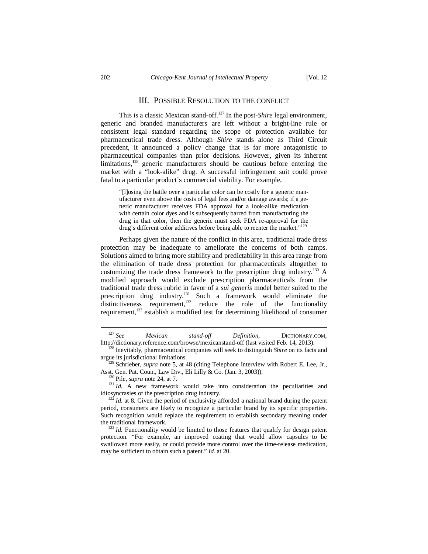### III. POSSIBLE RESOLUTION TO THE CONFLICT

This is a classic Mexican stand-off.<sup>127</sup> In the post-*Shire* legal environment, generic and branded manufacturers are left without a bright-line rule or consistent legal standard regarding the scope of protection available for pharmaceutical trade dress. Although *Shire* stands alone as Third Circuit precedent, it announced a policy change that is far more antagonistic to pharmaceutical companies than prior decisions. However, given its inherent limitations, $128$  generic manufacturers should be cautious before entering the market with a "look-alike" drug. A successful infringement suit could prove fatal to a particular product's commercial viability. For example,

"[l]osing the battle over a particular color can be costly for a generic manufacturer even above the costs of legal fees and/or damage awards; if a generic manufacturer receives FDA approval for a look-alike medication with certain color dyes and is subsequently barred from manufacturing the drug in that color, then the generic must seek FDA re-approval for the drug's different color additives before being able to reenter the market."<sup>129</sup>

Perhaps given the nature of the conflict in this area, traditional trade dress protection may be inadequate to ameliorate the concerns of both camps. Solutions aimed to bring more stability and predictability in this area range from the elimination of trade dress protection for pharmaceuticals altogether to customizing the trade dress framework to the prescription drug industry.<sup>130</sup> A modified approach would exclude prescription pharmaceuticals from the traditional trade dress rubric in favor of a *sui generis* model better suited to the prescription drug industry.<sup>131</sup> Such a framework would eliminate the distinctiveness requirement,<sup>132</sup> reduce the role of the functionality requirement,<sup>133</sup> establish a modified test for determining likelihood of consumer

<sup>131</sup> *Id.* A new framework would take into consideration the peculiarities and idiosyncrasies of the prescription drug industry.

<sup>127</sup> *See Mexican stand-off Definition*, DICTIONARY.COM, http://dictionary.reference.com/browse/mexicanstand-off (last visited Feb. 14, 2013).

<sup>128</sup> Inevitably, pharmaceutical companies will seek to distinguish *Shire* on its facts and argue its jurisdictional limitations.

<sup>&</sup>lt;sup>129</sup> Schrieber, *supra* note 5, at 48 (citing Telephone Interview with Robert E. Lee, Jr., Asst. Gen. Pat. Coun., Law Div., Eli Lilly & Co. (Jan. 3, 2003)).

<sup>130</sup> Pile, *supra* note 24, at 7.

 $132$  *Id.* at 8. Given the period of exclusivity afforded a national brand during the patent period, consumers are likely to recognize a particular brand by its specific properties. Such recognition would replace the requirement to establish secondary meaning under the traditional framework.

<sup>&</sup>lt;sup>133</sup> *Id.* Functionality would be limited to those features that qualify for design patent protection. "For example, an improved coating that would allow capsules to be swallowed more easily, or could provide more control over the time-release medication, may be sufficient to obtain such a patent." *Id.* at 20.